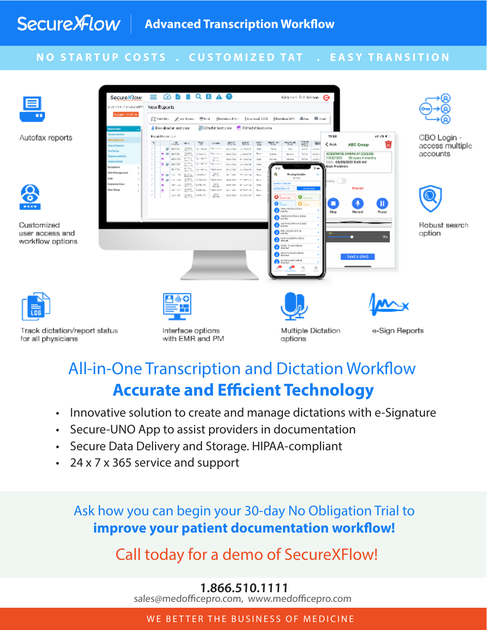#### **NO STARTUP COSTS . CUSTOMIZED TAT . EASY TRANSITION**



# All-in-One Transcription and Dictation Workflow **Accurate and Efficient Technology**

- Innovative solution to create and manage dictations with e-Signature
- Secure-UNO App to assist providers in documentation
- Secure Data Delivery and Storage. HIPAA-compliant
- 24 x 7 x 365 service and support

Ask how you can begin your 30-day No Obligation Trial to **improve your patient documentation workflow!**

Call today for a demo of SecureXFlow!

### **1.866.510.1111**

sales@medofficepro.com, www.medofficepro.com

WE BETTER THE BUSINESS OF MEDICINE